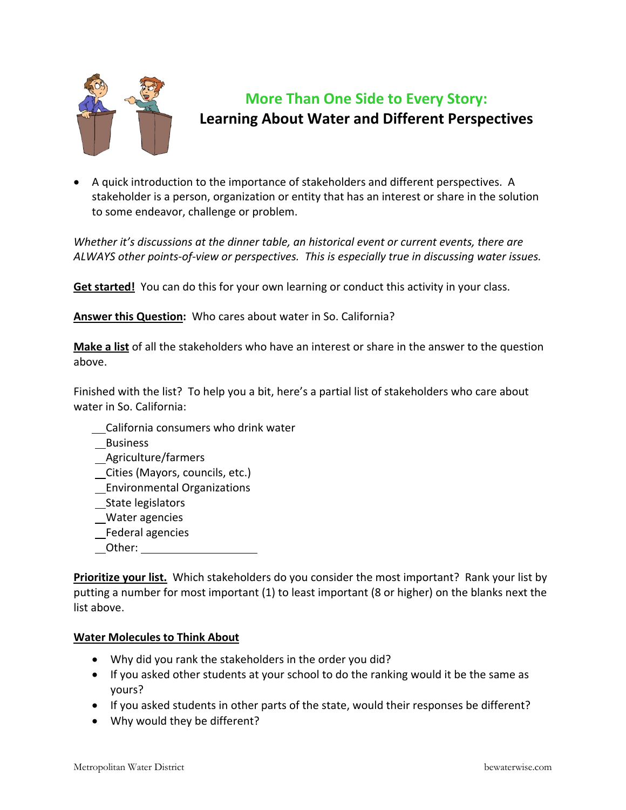

## **More Than One Side to Every Story: Learning About Water and Different Perspectives**

• A quick introduction to the importance of stakeholders and different perspectives. A stakeholder is a person, organization or entity that has an interest or share in the solution to some endeavor, challenge or problem.

*Whether it's discussions at the dinner table, an historical event or current events, there are ALWAYS other points‐of‐view or perspectives. This is especially true in discussing water issues.*

**Get started!** You can do this for your own learning or conduct this activity in your class.

**Answer this Question:** Who cares about water in So. California?

**Make a list** of all the stakeholders who have an interest or share in the answer to the question above.

Finished with the list? To help you a bit, here's a partial list of stakeholders who care about water in So. California:

- California consumers who drink water
- Business
- Agriculture/farmers
- Cities (Mayors, councils, etc.)
- Environmental Organizations
- State legislators
- Water agencies
- Federal agencies
- Other:

**Prioritize your list.** Which stakeholders do you consider the most important? Rank your list by putting a number for most important (1) to least important (8 or higher) on the blanks next the list above.

## **Water Molecules to Think About**

- Why did you rank the stakeholders in the order you did?
- If you asked other students at your school to do the ranking would it be the same as yours?
- If you asked students in other parts of the state, would their responses be different?
- Why would they be different?